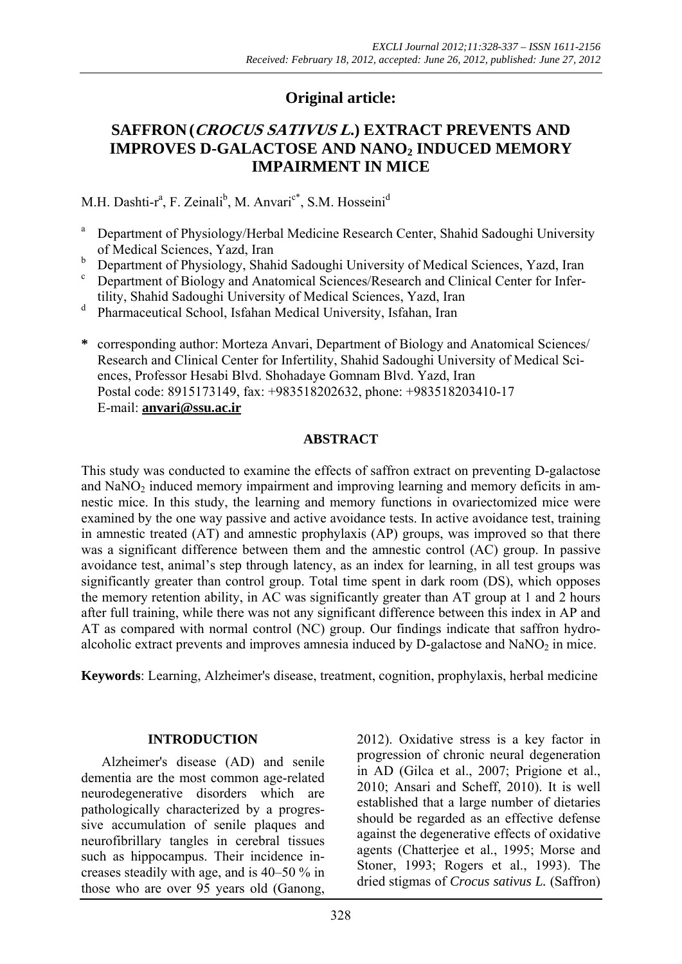# **Original article:**

# **SAFFRON(CROCUS SATIVUS L.) EXTRACT PREVENTS AND IMPROVES D-GALACTOSE AND NANO2 INDUCED MEMORY IMPAIRMENT IN MICE**

M.H. Dashti-r<sup>a</sup>, F. Zeinali<sup>b</sup>, M. Anvari<sup>c\*</sup>, S.M. Hosseini<sup>d</sup>

- a Department of Physiology/Herbal Medicine Research Center, Shahid Sadoughi University of Medical Sciences, Yazd, Iran
- $\frac{b}{c}$  Department of Physiology, Shahid Sadoughi University of Medical Sciences, Yazd, Iran c Department of Biology and Anatomical Sciences/Research and Clinical Center for Infer-
- tility, Shahid Sadoughi University of Medical Sciences, Yazd, Iran
- Pharmaceutical School, Isfahan Medical University, Isfahan, Iran
- **\*** corresponding author: Morteza Anvari, Department of Biology and Anatomical Sciences/ Research and Clinical Center for Infertility, Shahid Sadoughi University of Medical Sciences, Professor Hesabi Blvd. Shohadaye Gomnam Blvd. Yazd, Iran Postal code: 8915173149, fax: +983518202632, phone: +983518203410-17 E-mail: **anvari@ssu.ac.ir**

# **ABSTRACT**

This study was conducted to examine the effects of saffron extract on preventing D-galactose and NaNO<sub>2</sub> induced memory impairment and improving learning and memory deficits in amnestic mice. In this study, the learning and memory functions in ovariectomized mice were examined by the one way passive and active avoidance tests. In active avoidance test, training in amnestic treated (AT) and amnestic prophylaxis (AP) groups, was improved so that there was a significant difference between them and the amnestic control (AC) group. In passive avoidance test, animal's step through latency, as an index for learning, in all test groups was significantly greater than control group. Total time spent in dark room (DS), which opposes the memory retention ability, in AC was significantly greater than AT group at 1 and 2 hours after full training, while there was not any significant difference between this index in AP and AT as compared with normal control (NC) group. Our findings indicate that saffron hydroalcoholic extract prevents and improves amnesia induced by  $D$ -galactose and  $NaNO<sub>2</sub>$  in mice.

**Keywords**: Learning, Alzheimer's disease, treatment, cognition, prophylaxis, herbal medicine

## **INTRODUCTION**

Alzheimer's disease (AD) and senile dementia are the most common age-related neurodegenerative disorders which are pathologically characterized by a progressive accumulation of senile plaques and neurofibrillary tangles in cerebral tissues such as hippocampus. Their incidence increases steadily with age, and is 40–50 % in those who are over 95 years old (Ganong, 2012). Oxidative stress is a key factor in progression of chronic neural degeneration in AD (Gilca et al., 2007; Prigione et al., 2010; Ansari and Scheff, 2010). It is well established that a large number of dietaries should be regarded as an effective defense against the degenerative effects of oxidative agents (Chatterjee et al., 1995; Morse and Stoner, 1993; Rogers et al., 1993). The dried stigmas of *Crocus sativus L.* (Saffron)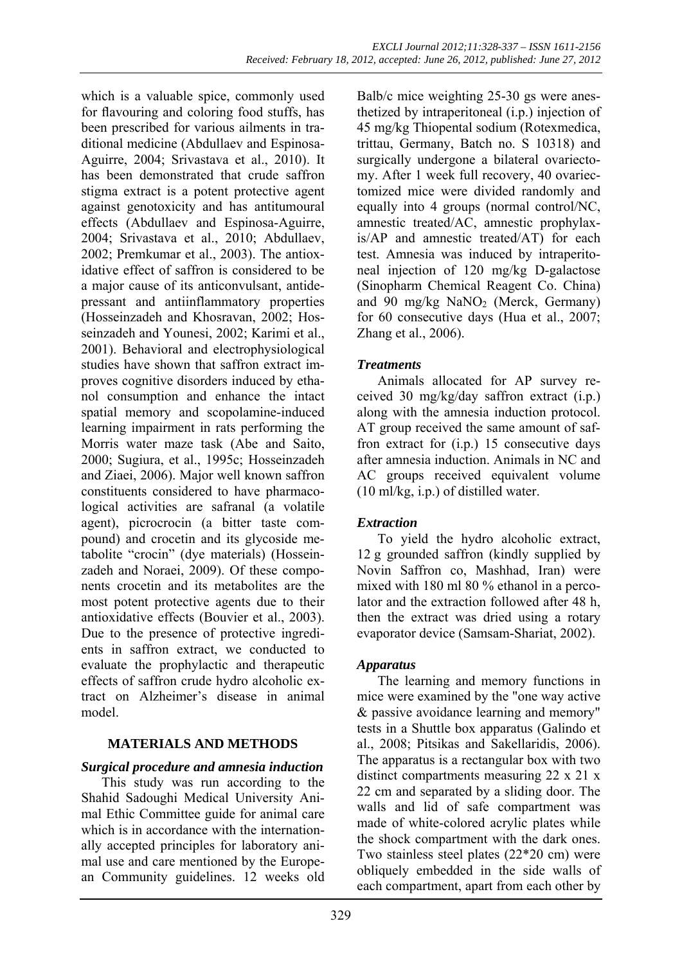which is a valuable spice, commonly used for flavouring and coloring food stuffs, has been prescribed for various ailments in traditional medicine (Abdullaev and Espinosa-Aguirre, 2004; Srivastava et al., 2010). It has been demonstrated that crude saffron stigma extract is a potent protective agent against genotoxicity and has antitumoural effects (Abdullaev and Espinosa-Aguirre, 2004; Srivastava et al., 2010; Abdullaev, 2002; Premkumar et al., 2003). The antioxidative effect of saffron is considered to be a major cause of its anticonvulsant, antidepressant and antiinflammatory properties (Hosseinzadeh and Khosravan, 2002; Hosseinzadeh and Younesi, 2002; Karimi et al., 2001). Behavioral and electrophysiological studies have shown that saffron extract improves cognitive disorders induced by ethanol consumption and enhance the intact spatial memory and scopolamine-induced learning impairment in rats performing the Morris water maze task (Abe and Saito, 2000; Sugiura, et al., 1995c; Hosseinzadeh and Ziaei, 2006). Major well known saffron constituents considered to have pharmacological activities are safranal (a volatile agent), picrocrocin (a bitter taste compound) and crocetin and its glycoside metabolite "crocin" (dye materials) (Hosseinzadeh and Noraei, 2009). Of these components crocetin and its metabolites are the most potent protective agents due to their antioxidative effects (Bouvier et al., 2003). Due to the presence of protective ingredients in saffron extract, we conducted to evaluate the prophylactic and therapeutic effects of saffron crude hydro alcoholic extract on Alzheimer's disease in animal model.

## **MATERIALS AND METHODS**

## *Surgical procedure and amnesia induction*

This study was run according to the Shahid Sadoughi Medical University Animal Ethic Committee guide for animal care which is in accordance with the internationally accepted principles for laboratory animal use and care mentioned by the European Community guidelines. 12 weeks old Balb/c mice weighting 25-30 gs were anesthetized by intraperitoneal (i.p.) injection of 45 mg/kg Thiopental sodium (Rotexmedica, trittau, Germany, Batch no. S 10318) and surgically undergone a bilateral ovariectomy. After 1 week full recovery, 40 ovariectomized mice were divided randomly and equally into 4 groups (normal control/NC, amnestic treated/AC, amnestic prophylaxis/AP and amnestic treated/AT) for each test. Amnesia was induced by intraperitoneal injection of 120 mg/kg D-galactose (Sinopharm Chemical Reagent Co. China) and 90 mg/kg  $NaNO<sub>2</sub>$  (Merck, Germany) for 60 consecutive days (Hua et al., 2007; Zhang et al., 2006).

# *Treatments*

Animals allocated for AP survey received 30 mg/kg/day saffron extract (i.p.) along with the amnesia induction protocol. AT group received the same amount of saffron extract for (i.p.) 15 consecutive days after amnesia induction. Animals in NC and AC groups received equivalent volume (10 ml/kg, i.p.) of distilled water.

## *Extraction*

To yield the hydro alcoholic extract, 12 g grounded saffron (kindly supplied by Novin Saffron co, Mashhad, Iran) were mixed with 180 ml 80 % ethanol in a percolator and the extraction followed after 48 h, then the extract was dried using a rotary evaporator device (Samsam-Shariat, 2002).

## *Apparatus*

The learning and memory functions in mice were examined by the "one way active & passive avoidance learning and memory" tests in a Shuttle box apparatus (Galindo et al., 2008; Pitsikas and Sakellaridis, 2006). The apparatus is a rectangular box with two distinct compartments measuring 22 x 21 x 22 cm and separated by a sliding door. The walls and lid of safe compartment was made of white-colored acrylic plates while the shock compartment with the dark ones. Two stainless steel plates (22\*20 cm) were obliquely embedded in the side walls of each compartment, apart from each other by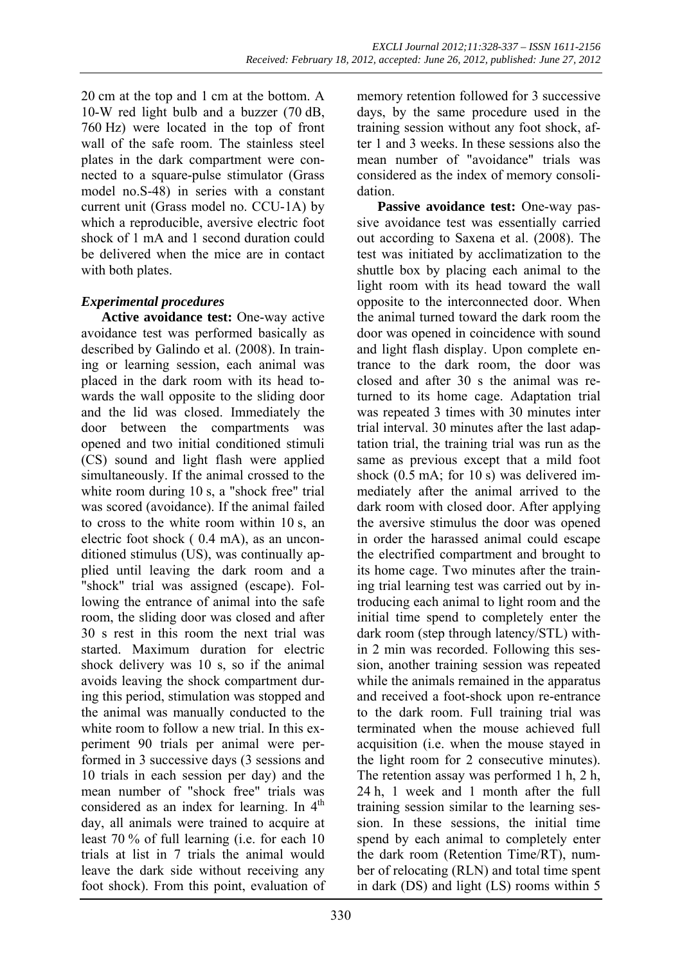20 cm at the top and 1 cm at the bottom. A 10-W red light bulb and a buzzer (70 dB, 760 Hz) were located in the top of front wall of the safe room. The stainless steel plates in the dark compartment were connected to a square-pulse stimulator (Grass model no.S-48) in series with a constant current unit (Grass model no. CCU-1A) by which a reproducible, aversive electric foot shock of 1 mA and 1 second duration could be delivered when the mice are in contact with both plates.

# *Experimental procedures*

**Active avoidance test:** One-way active avoidance test was performed basically as described by Galindo et al. (2008). In training or learning session, each animal was placed in the dark room with its head towards the wall opposite to the sliding door and the lid was closed. Immediately the door between the compartments was opened and two initial conditioned stimuli (CS) sound and light flash were applied simultaneously. If the animal crossed to the white room during 10 s, a "shock free" trial was scored (avoidance). If the animal failed to cross to the white room within 10 s, an electric foot shock ( 0.4 mA), as an unconditioned stimulus (US), was continually applied until leaving the dark room and a "shock" trial was assigned (escape). Following the entrance of animal into the safe room, the sliding door was closed and after 30 s rest in this room the next trial was started. Maximum duration for electric shock delivery was 10 s, so if the animal avoids leaving the shock compartment during this period, stimulation was stopped and the animal was manually conducted to the white room to follow a new trial. In this experiment 90 trials per animal were performed in 3 successive days (3 sessions and 10 trials in each session per day) and the mean number of "shock free" trials was considered as an index for learning. In  $4<sup>th</sup>$ day, all animals were trained to acquire at least 70 % of full learning (i.e. for each 10 trials at list in 7 trials the animal would leave the dark side without receiving any foot shock). From this point, evaluation of memory retention followed for 3 successive days, by the same procedure used in the training session without any foot shock, after 1 and 3 weeks. In these sessions also the mean number of "avoidance" trials was considered as the index of memory consolidation.

**Passive avoidance test:** One-way passive avoidance test was essentially carried out according to Saxena et al. (2008). The test was initiated by acclimatization to the shuttle box by placing each animal to the light room with its head toward the wall opposite to the interconnected door. When the animal turned toward the dark room the door was opened in coincidence with sound and light flash display. Upon complete entrance to the dark room, the door was closed and after 30 s the animal was returned to its home cage. Adaptation trial was repeated 3 times with 30 minutes inter trial interval. 30 minutes after the last adaptation trial, the training trial was run as the same as previous except that a mild foot shock (0.5 mA; for 10 s) was delivered immediately after the animal arrived to the dark room with closed door. After applying the aversive stimulus the door was opened in order the harassed animal could escape the electrified compartment and brought to its home cage. Two minutes after the training trial learning test was carried out by introducing each animal to light room and the initial time spend to completely enter the dark room (step through latency/STL) within 2 min was recorded. Following this session, another training session was repeated while the animals remained in the apparatus and received a foot-shock upon re-entrance to the dark room. Full training trial was terminated when the mouse achieved full acquisition (i.e. when the mouse stayed in the light room for 2 consecutive minutes). The retention assay was performed 1 h, 2 h, 24 h, 1 week and 1 month after the full training session similar to the learning session. In these sessions, the initial time spend by each animal to completely enter the dark room (Retention Time/RT), number of relocating (RLN) and total time spent in dark (DS) and light (LS) rooms within 5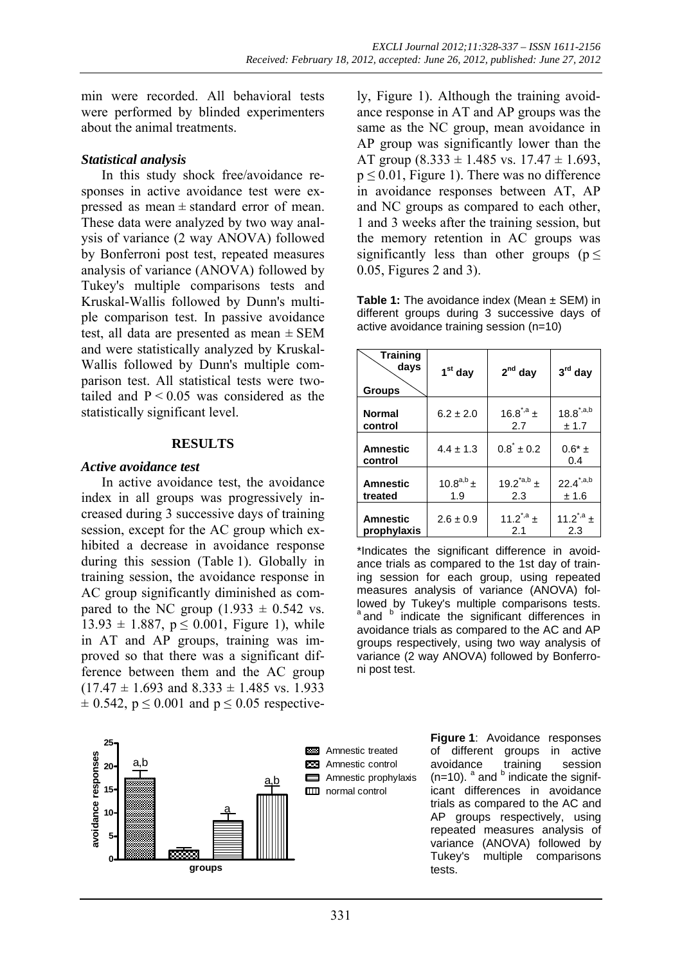min were recorded. All behavioral tests were performed by blinded experimenters about the animal treatments.

### *Statistical analysis*

In this study shock free/avoidance responses in active avoidance test were expressed as mean  $\pm$  standard error of mean. These data were analyzed by two way analysis of variance (2 way ANOVA) followed by Bonferroni post test, repeated measures analysis of variance (ANOVA) followed by Tukey's multiple comparisons tests and Kruskal-Wallis followed by Dunn's multiple comparison test. In passive avoidance test, all data are presented as mean  $\pm$  SEM and were statistically analyzed by Kruskal-Wallis followed by Dunn's multiple comparison test. All statistical tests were twotailed and  $P < 0.05$  was considered as the statistically significant level.

#### **RESULTS**

#### *Active avoidance test*

In active avoidance test, the avoidance index in all groups was progressively increased during 3 successive days of training session, except for the AC group which exhibited a decrease in avoidance response during this session (Table 1). Globally in training session, the avoidance response in AC group significantly diminished as compared to the NC group  $(1.933 \pm 0.542 \text{ vs.})$  $13.93 \pm 1.887$ ,  $p \le 0.001$ , Figure 1), while in AT and AP groups, training was improved so that there was a significant difference between them and the AC group  $(17.47 \pm 1.693 \text{ and } 8.333 \pm 1.485 \text{ vs. } 1.933)$  $\pm$  0.542, p  $\leq$  0.001 and p  $\leq$  0.05 respective-



ly, Figure 1). Although the training avoidance response in AT and AP groups was the same as the NC group, mean avoidance in AP group was significantly lower than the AT group  $(8.333 \pm 1.485 \text{ vs. } 17.47 \pm 1.693)$ ,  $p \le 0.01$ , Figure 1). There was no difference in avoidance responses between AT, AP and NC groups as compared to each other, 1 and 3 weeks after the training session, but the memory retention in AC groups was significantly less than other groups ( $p \leq$ 0.05, Figures 2 and 3).

**Table 1:** The avoidance index (Mean ± SEM) in different groups during 3 successive days of active avoidance training session (n=10)

| <b>Training</b><br>days<br><b>Groups</b> | $1st$ day      | $2nd$ day                      | $3rd$ day             |
|------------------------------------------|----------------|--------------------------------|-----------------------|
| <b>Normal</b>                            | $6.2 \pm 2.0$  | 16.8 <sup>*,a</sup> ±          | $18.8^{\text{*},a,b}$ |
| control                                  |                | 2.7                            | ± 1.7                 |
| <b>Amnestic</b><br>control               | $4.4 \pm 1.3$  | $0.8^{\dagger} \pm 0.2$        | $0.6*$ ±<br>0.4       |
| <b>Amnestic</b>                          | $10.8^{a,b}$ ± | 19.2 $^*$ <sup>a,b</sup> $\pm$ | $22.4^{\text{*},a,b}$ |
| treated                                  | 1.9            | 2.3                            | ± 1.6                 |
| <b>Amnestic</b>                          | $2.6 \pm 0.9$  | $11.2^{\dot{a}} +$             | 11.2 <sup>*,a</sup> ± |
| prophylaxis                              |                | 2.1                            | 2.3                   |

\*Indicates the significant difference in avoidance trials as compared to the 1st day of training session for each group, using repeated measures analysis of variance (ANOVA) followed by Tukey's multiple comparisons tests.  $a$  and  $b$  indicate the significant differences in avoidance trials as compared to the AC and AP groups respectively, using two way analysis of variance (2 way ANOVA) followed by Bonferroni post test.

> **Figure 1**: Avoidance responses of different groups in active avoidance training session  $(n=10)$ .  $^{a}$  and  $^{b}$  indicate the significant differences in avoidance trials as compared to the AC and AP groups respectively, using repeated measures analysis of variance (ANOVA) followed by Tukey's multiple comparisons tests.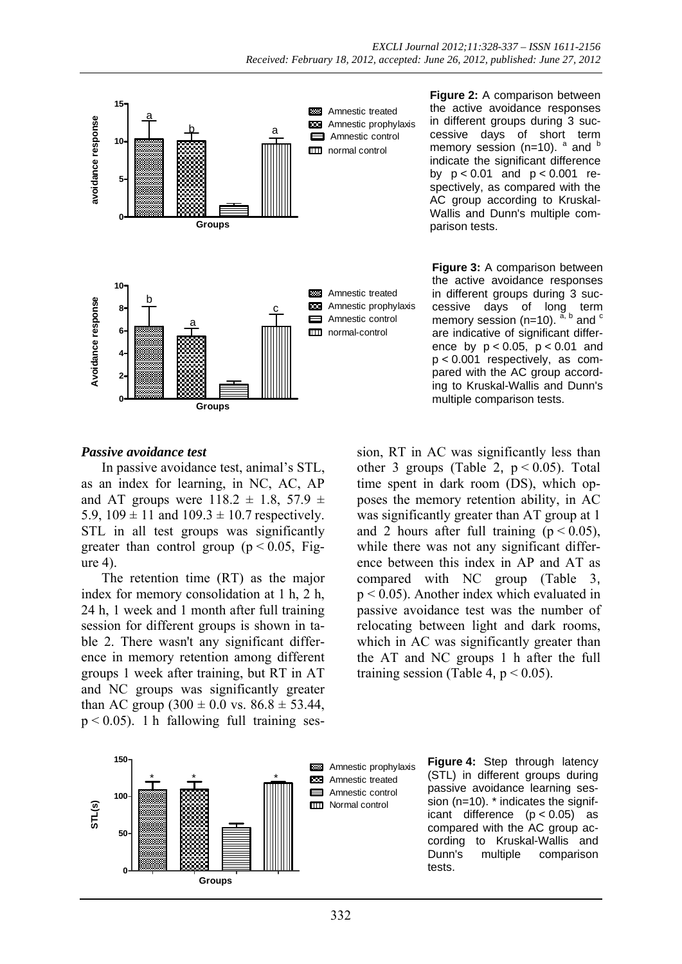

**Figure 2:** A comparison between the active avoidance responses in different groups during 3 successive days of short term memory session (n=10).  $a$  and  $b$ indicate the significant difference by p < 0.01 and p < 0.001 respectively, as compared with the AC group according to Kruskal-Wallis and Dunn's multiple comparison tests.

**Figure 3:** A comparison between the active avoidance responses in different groups during 3 successive days of long term memory session (n=10).  $^{\tilde{a}, b}$  and  $^c$ are indicative of significant difference by  $p < 0.05$ ,  $p < 0.01$  and p < 0.001 respectively, as compared with the AC group according to Kruskal-Wallis and Dunn's multiple comparison tests.

### *Passive avoidance test*

In passive avoidance test, animal's STL, as an index for learning, in NC, AC, AP and AT groups were  $118.2 \pm 1.8$ ,  $57.9 \pm 1.8$ 5.9,  $109 \pm 11$  and  $109.3 \pm 10.7$  respectively. STL in all test groups was significantly greater than control group ( $p < 0.05$ , Figure 4).

The retention time (RT) as the major index for memory consolidation at 1 h, 2 h, 24 h, 1 week and 1 month after full training session for different groups is shown in table 2. There wasn't any significant difference in memory retention among different groups 1 week after training, but RT in AT and NC groups was significantly greater than AC group  $(300 \pm 0.0 \text{ vs. } 86.8 \pm 53.44,$  $p < 0.05$ ). 1 h fallowing full training session, RT in AC was significantly less than other 3 groups (Table 2,  $p < 0.05$ ). Total time spent in dark room (DS), which opposes the memory retention ability, in AC was significantly greater than AT group at 1 and 2 hours after full training  $(p < 0.05)$ , while there was not any significant difference between this index in AP and AT as compared with NC group (Table 3,  $p < 0.05$ ). Another index which evaluated in passive avoidance test was the number of relocating between light and dark rooms, which in AC was significantly greater than the AT and NC groups 1 h after the full training session (Table 4,  $p < 0.05$ ).



**BBB** Amnestic prophylaxis **EXE** Amnestic treated  $\blacksquare$ Amnestic control **III** Normal control

**Figure 4:** Step through latency (STL) in different groups during passive avoidance learning session (n=10). \* indicates the significant difference (p < 0.05) as compared with the AC group according to Kruskal-Wallis and Dunn's multiple comparison tests.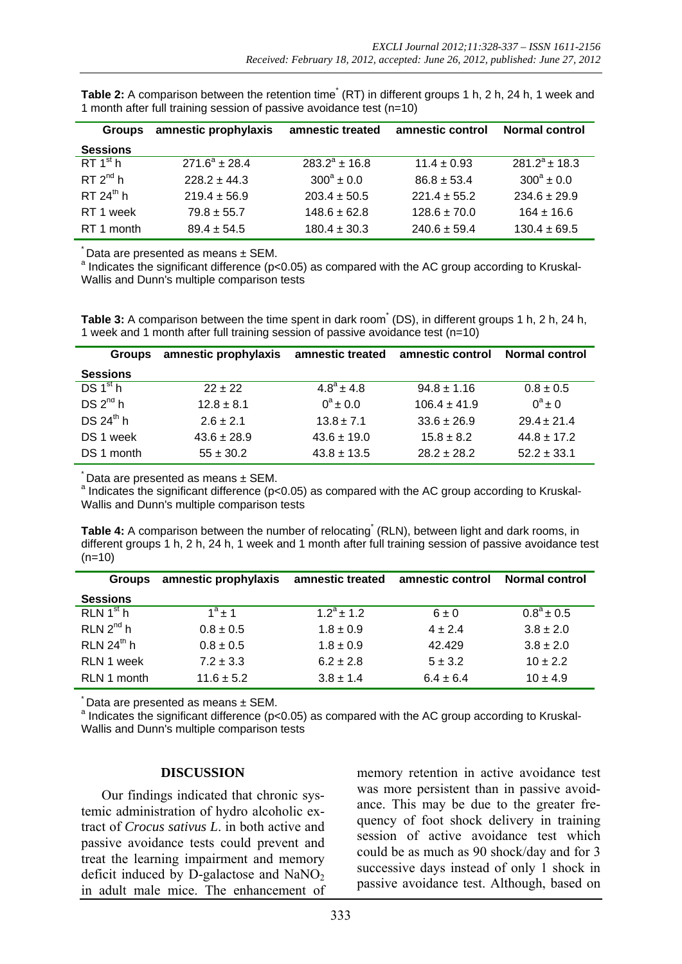| <b>Groups</b>        | amnestic prophylaxis | amnestic treated   | amnestic control | <b>Normal control</b> |
|----------------------|----------------------|--------------------|------------------|-----------------------|
| <b>Sessions</b>      |                      |                    |                  |                       |
| RT 1 <sup>st</sup> h | $271.6^a \pm 28.4$   | $283.2^a \pm 16.8$ | $11.4 \pm 0.93$  | $281.2^a \pm 18.3$    |
| RT 2 <sup>nd</sup> h | $228.2 + 44.3$       | $300^a \pm 0.0$    | $86.8 \pm 53.4$  | $300^a \pm 0.0$       |
| RT $24^{th}$ h       | $219.4 + 56.9$       | $203.4 + 50.5$     | $221.4 + 55.2$   | $234.6 \pm 29.9$      |
| RT 1 week            | $79.8 + 55.7$        | $148.6 \pm 62.8$   | $128.6 \pm 70.0$ | $164 + 16.6$          |
| RT 1 month           | $89.4 + 54.5$        | $180.4 \pm 30.3$   | $240.6 \pm 59.4$ | $130.4 \pm 69.5$      |

Table 2: A comparison between the retention time<sup>\*</sup> (RT) in different groups 1 h, 2 h, 24 h, 1 week and 1 month after full training session of passive avoidance test (n=10)

Data are presented as means  $\pm$  SEM.

 $^{\circ}$  Indicates the significant difference (p<0.05) as compared with the AC group according to Kruskal-Wallis and Dunn's multiple comparison tests

Table 3: A comparison between the time spent in dark room<sup>\*</sup> (DS), in different groups 1 h, 2 h, 24 h, 1 week and 1 month after full training session of passive avoidance test (n=10)

| <b>Groups</b>        | amnestic prophylaxis | amnestic treated      | amnestic control | <b>Normal control</b> |
|----------------------|----------------------|-----------------------|------------------|-----------------------|
| <b>Sessions</b>      |                      |                       |                  |                       |
| DS 1 <sup>st</sup> h | $22 + 22$            | $4.8^{\circ} \pm 4.8$ | $94.8 \pm 1.16$  | $0.8 \pm 0.5$         |
| DS 2 <sup>nd</sup> h | $12.8 \pm 8.1$       | $0^a \pm 0.0$         | $106.4 \pm 41.9$ | $0^a \pm 0$           |
| DS $24^{th}$ h       | $2.6 + 2.1$          | $13.8 \pm 7.1$        | $33.6 \pm 26.9$  | $29.4 + 21.4$         |
| DS 1 week            | $43.6 \pm 28.9$      | $43.6 \pm 19.0$       | $15.8 + 8.2$     | $44.8 + 17.2$         |
| DS 1 month           | $55 \pm 30.2$        | $43.8 \pm 13.5$       | $28.2 + 28.2$    | $52.2 \pm 33.1$       |

Data are presented as means  $\pm$  SEM.

a Indicates the significant difference (p<0.05) as compared with the AC group according to Kruskal-Wallis and Dunn's multiple comparison tests

Table 4: A comparison between the number of relocating<sup>\*</sup> (RLN), between light and dark rooms, in different groups 1 h, 2 h, 24 h, 1 week and 1 month after full training session of passive avoidance test  $(n=10)$ 

| <b>Groups</b>         | amnestic prophylaxis | amnestic treated | amnestic control | <b>Normal control</b> |
|-----------------------|----------------------|------------------|------------------|-----------------------|
| <b>Sessions</b>       |                      |                  |                  |                       |
| RLN 1 <sup>st</sup> h | $1^a$ + 1            | $12^a + 12$      | $6 \pm 0$        | $0.8^{\circ} \pm 0.5$ |
| $RLN$ $2nd$ h         | $0.8 \pm 0.5$        | $1.8 \pm 0.9$    | $4 \pm 2.4$      | $3.8 \pm 2.0$         |
| RLN $24^{th}$ h       | $0.8 \pm 0.5$        | $1.8 \pm 0.9$    | 42.429           | $3.8 \pm 2.0$         |
| RLN 1 week            | $7.2 \pm 3.3$        | $6.2 \pm 2.8$    | $5 \pm 3.2$      | $10 \pm 2.2$          |
| RLN 1 month           | $11.6 \pm 5.2$       | $3.8 \pm 1.4$    | $6.4 \pm 6.4$    | $10 \pm 4.9$          |

Data are presented as means  $\pm$  SEM.

 $^{\circ}$  Indicates the significant difference (p<0.05) as compared with the AC group according to Kruskal-Wallis and Dunn's multiple comparison tests

#### **DISCUSSION**

Our findings indicated that chronic systemic administration of hydro alcoholic extract of *Crocus sativus L*. in both active and passive avoidance tests could prevent and treat the learning impairment and memory deficit induced by D-galactose and  $NaNO<sub>2</sub>$ in adult male mice. The enhancement of memory retention in active avoidance test was more persistent than in passive avoidance. This may be due to the greater frequency of foot shock delivery in training session of active avoidance test which could be as much as 90 shock/day and for 3 successive days instead of only 1 shock in passive avoidance test. Although, based on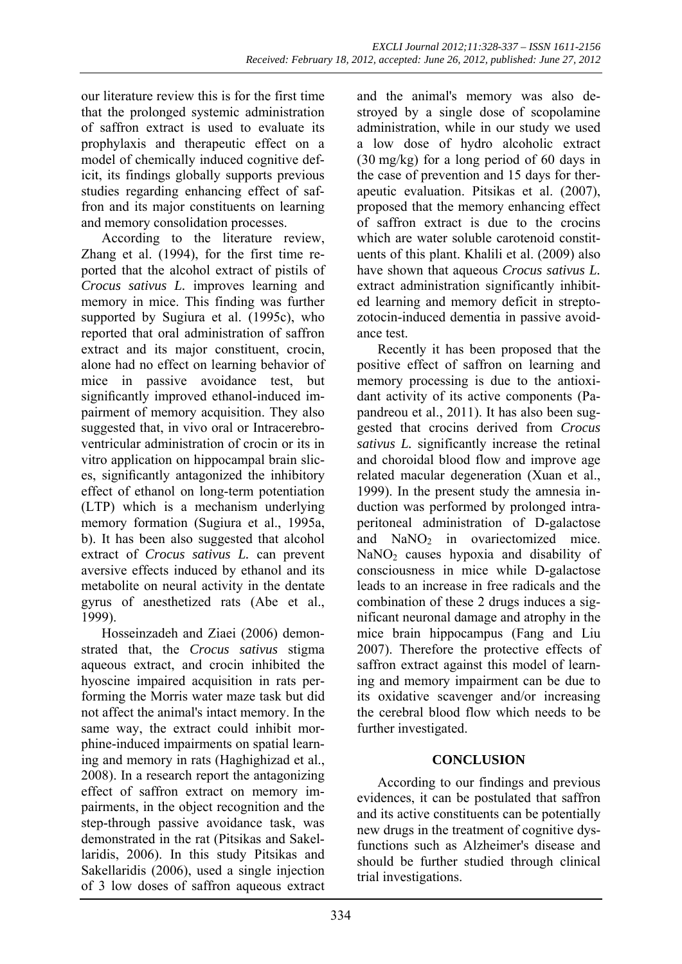our literature review this is for the first time that the prolonged systemic administration of saffron extract is used to evaluate its prophylaxis and therapeutic effect on a model of chemically induced cognitive deficit, its findings globally supports previous studies regarding enhancing effect of saffron and its major constituents on learning and memory consolidation processes.

According to the literature review, Zhang et al. (1994), for the first time reported that the alcohol extract of pistils of *Crocus sativus L.* improves learning and memory in mice. This finding was further supported by Sugiura et al. (1995c), who reported that oral administration of saffron extract and its major constituent, crocin, alone had no effect on learning behavior of mice in passive avoidance test, but significantly improved ethanol-induced impairment of memory acquisition. They also suggested that, in vivo oral or Intracerebroventricular administration of crocin or its in vitro application on hippocampal brain slices, significantly antagonized the inhibitory effect of ethanol on long-term potentiation (LTP) which is a mechanism underlying memory formation (Sugiura et al., 1995a, b). It has been also suggested that alcohol extract of *Crocus sativus L.* can prevent aversive effects induced by ethanol and its metabolite on neural activity in the dentate gyrus of anesthetized rats (Abe et al., 1999).

Hosseinzadeh and Ziaei (2006) demonstrated that, the *Crocus sativus* stigma aqueous extract, and crocin inhibited the hyoscine impaired acquisition in rats performing the Morris water maze task but did not affect the animal's intact memory. In the same way, the extract could inhibit morphine-induced impairments on spatial learning and memory in rats (Haghighizad et al., 2008). In a research report the antagonizing effect of saffron extract on memory impairments, in the object recognition and the step-through passive avoidance task, was demonstrated in the rat (Pitsikas and Sakellaridis, 2006). In this study Pitsikas and Sakellaridis (2006), used a single injection of 3 low doses of saffron aqueous extract

and the animal's memory was also destroyed by a single dose of scopolamine administration, while in our study we used a low dose of hydro alcoholic extract (30 mg/kg) for a long period of 60 days in the case of prevention and 15 days for therapeutic evaluation. Pitsikas et al. (2007), proposed that the memory enhancing effect of saffron extract is due to the crocins which are water soluble carotenoid constituents of this plant. Khalili et al. (2009) also have shown that aqueous *Crocus sativus L.*  extract administration significantly inhibited learning and memory deficit in streptozotocin-induced dementia in passive avoidance test.

Recently it has been proposed that the positive effect of saffron on learning and memory processing is due to the antioxidant activity of its active components (Papandreou et al., 2011). It has also been suggested that crocins derived from *Crocus sativus L.* significantly increase the retinal and choroidal blood flow and improve age related macular degeneration (Xuan et al., 1999). In the present study the amnesia induction was performed by prolonged intraperitoneal administration of D-galactose and  $NaNO<sub>2</sub>$  in ovariectomized mice.  $NaNO<sub>2</sub>$  causes hypoxia and disability of consciousness in mice while D-galactose leads to an increase in free radicals and the combination of these 2 drugs induces a significant neuronal damage and atrophy in the mice brain hippocampus (Fang and Liu 2007). Therefore the protective effects of saffron extract against this model of learning and memory impairment can be due to its oxidative scavenger and/or increasing the cerebral blood flow which needs to be further investigated.

# **CONCLUSION**

According to our findings and previous evidences, it can be postulated that saffron and its active constituents can be potentially new drugs in the treatment of cognitive dysfunctions such as Alzheimer's disease and should be further studied through clinical trial investigations.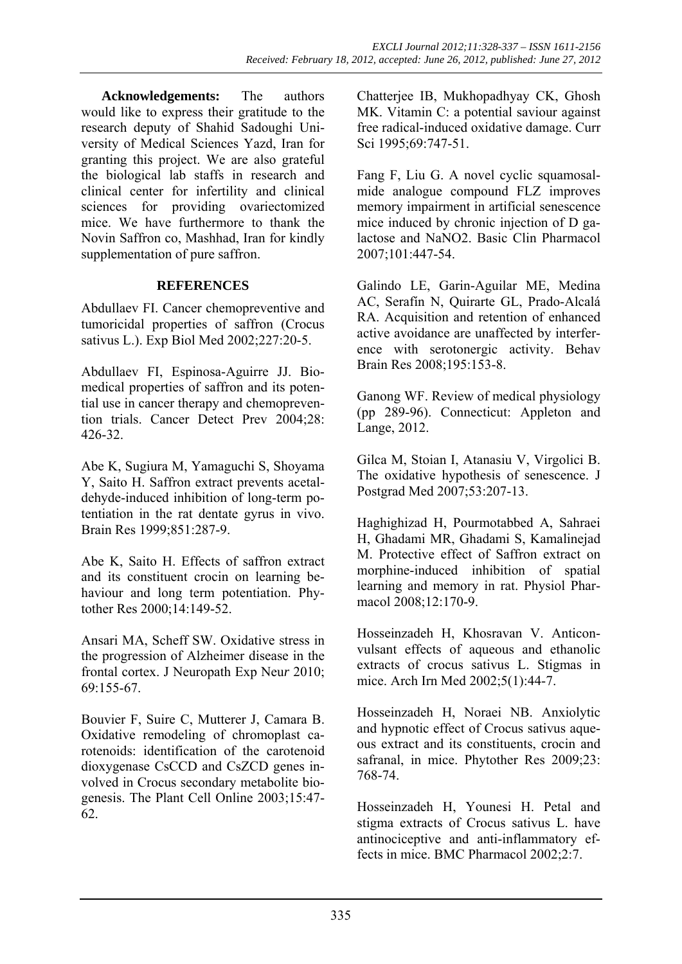**Acknowledgements:** The authors would like to express their gratitude to the research deputy of Shahid Sadoughi University of Medical Sciences Yazd, Iran for granting this project. We are also grateful the biological lab staffs in research and clinical center for infertility and clinical sciences for providing ovariectomized mice. We have furthermore to thank the Novin Saffron co, Mashhad, Iran for kindly supplementation of pure saffron.

### **REFERENCES**

Abdullaev FI. Cancer chemopreventive and tumoricidal properties of saffron (Crocus sativus L.). Exp Biol Med 2002;227:20-5.

Abdullaev FI, Espinosa-Aguirre JJ. Biomedical properties of saffron and its potential use in cancer therapy and chemoprevention trials. Cancer Detect Prev 2004;28: 426-32.

Abe K, Sugiura M, Yamaguchi S, Shoyama Y, Saito H. Saffron extract prevents acetaldehyde-induced inhibition of long-term potentiation in the rat dentate gyrus in vivo. Brain Res 1999;851:287-9.

Abe K, Saito H. Effects of saffron extract and its constituent crocin on learning behaviour and long term potentiation. Phytother Res 2000;14:149-52.

Ansari MA, Scheff SW. Oxidative stress in the progression of Alzheimer disease in the frontal cortex. J Neuropath Exp Neu*r* 2010; 69:155-67.

Bouvier F, Suire C, Mutterer J, Camara B. Oxidative remodeling of chromoplast carotenoids: identification of the carotenoid dioxygenase CsCCD and CsZCD genes involved in Crocus secondary metabolite biogenesis. The Plant Cell Online 2003;15:47- 62.

Chatterjee IB, Mukhopadhyay CK, Ghosh MK. Vitamin C: a potential saviour against free radical-induced oxidative damage. Curr Sci 1995;69:747-51.

Fang F, Liu G. A novel cyclic squamosalmide analogue compound FLZ improves memory impairment in artificial senescence mice induced by chronic injection of D galactose and NaNO2. Basic Clin Pharmacol 2007;101:447-54.

Galindo LE, Garin-Aguilar ME, Medina AC, Serafín N, Quirarte GL, Prado-Alcalá RA. Acquisition and retention of enhanced active avoidance are unaffected by interference with serotonergic activity. Behav Brain Res 2008;195:153-8.

Ganong WF. Review of medical physiology (pp 289-96). Connecticut: Appleton and Lange, 2012.

Gilca M, Stoian I, Atanasiu V, Virgolici B. The oxidative hypothesis of senescence. J Postgrad Med 2007;53:207-13.

Haghighizad H, Pourmotabbed A, Sahraei H, Ghadami MR, Ghadami S, Kamalinejad M. Protective effect of Saffron extract on morphine-induced inhibition of spatial learning and memory in rat. Physiol Pharmacol 2008;12:170-9.

Hosseinzadeh H, Khosravan V. Anticonvulsant effects of aqueous and ethanolic extracts of crocus sativus L. Stigmas in mice. Arch Irn Med 2002;5(1):44-7.

Hosseinzadeh H, Noraei NB. Anxiolytic and hypnotic effect of Crocus sativus aqueous extract and its constituents, crocin and safranal, in mice. Phytother Res 2009;23: 768-74.

Hosseinzadeh H, Younesi H. Petal and stigma extracts of Crocus sativus L. have antinociceptive and anti-inflammatory effects in mice. BMC Pharmacol 2002;2:7.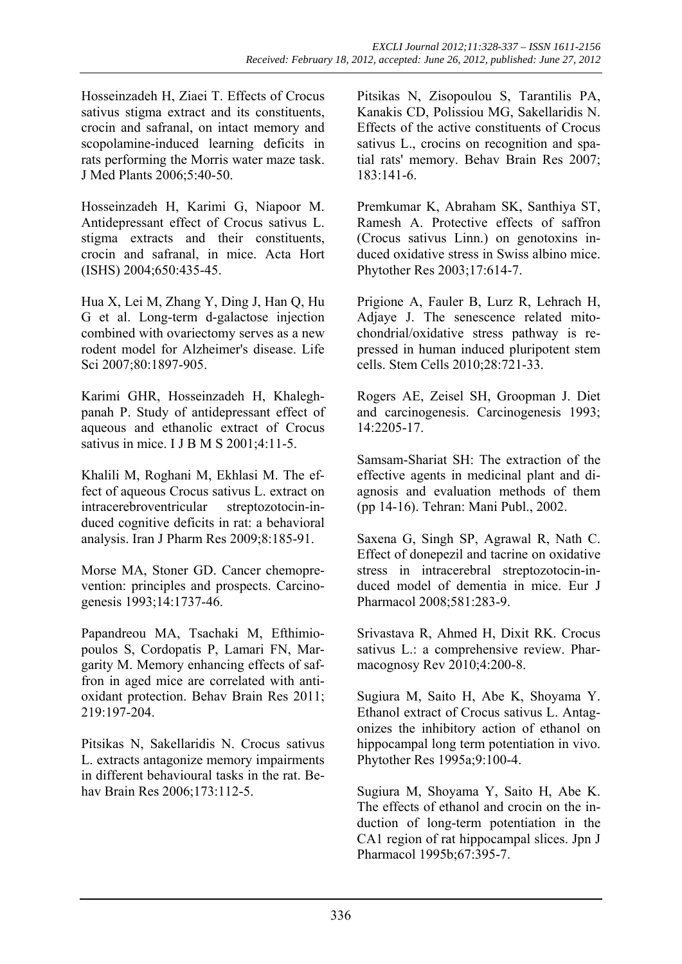Hosseinzadeh H, Ziaei T. Effects of Crocus sativus stigma extract and its constituents, crocin and safranal, on intact memory and scopolamine-induced learning deficits in rats performing the Morris water maze task. J Med Plants 2006;5:40-50.

Hosseinzadeh H, Karimi G, Niapoor M. Antidepressant effect of Crocus sativus L. stigma extracts and their constituents, crocin and safranal, in mice. Acta Hort (ISHS) 2004;650:435-45.

Hua X, Lei M, Zhang Y, Ding J, Han Q, Hu G et al. Long-term d-galactose injection combined with ovariectomy serves as a new rodent model for Alzheimer's disease. Life Sci 2007;80:1897-905.

Karimi GHR, Hosseinzadeh H, Khaleghpanah P. Study of antidepressant effect of aqueous and ethanolic extract of Crocus sativus in mice. I J B M S 2001;4:11-5.

Khalili M, Roghani M, Ekhlasi M. The effect of aqueous Crocus sativus L. extract on intracerebroventricular streptozotocin-induced cognitive deficits in rat: a behavioral analysis. Iran J Pharm Res 2009;8:185-91.

Morse MA, Stoner GD. Cancer chemoprevention: principles and prospects. Carcinogenesis 1993;14:1737-46.

Papandreou MA, Tsachaki M, Efthimiopoulos S, Cordopatis P, Lamari FN, Margarity M. Memory enhancing effects of saffron in aged mice are correlated with antioxidant protection. Behav Brain Res 2011; 219:197-204.

Pitsikas N, Sakellaridis N. Crocus sativus L. extracts antagonize memory impairments in different behavioural tasks in the rat. Behav Brain Res 2006;173:112-5.

Pitsikas N, Zisopoulou S, Tarantilis PA, Kanakis CD, Polissiou MG, Sakellaridis N. Effects of the active constituents of Crocus sativus L., crocins on recognition and spatial rats' memory. Behav Brain Res 2007;  $183 \cdot 141 - 6$ 

Premkumar K, Abraham SK, Santhiya ST, Ramesh A. Protective effects of saffron (Crocus sativus Linn.) on genotoxins induced oxidative stress in Swiss albino mice. Phytother Res 2003;17:614-7.

Prigione A, Fauler B, Lurz R, Lehrach H, Adjaye J. The senescence related mitochondrial/oxidative stress pathway is repressed in human induced pluripotent stem cells. Stem Cells 2010;28:721-33.

Rogers AE, Zeisel SH, Groopman J. Diet and carcinogenesis. Carcinogenesis 1993;  $14.2205 - 17$ 

Samsam-Shariat SH: The extraction of the effective agents in medicinal plant and diagnosis and evaluation methods of them (pp 14-16). Tehran: Mani Publ., 2002.

Saxena G, Singh SP, Agrawal R, Nath C. Effect of donepezil and tacrine on oxidative stress in intracerebral streptozotocin-induced model of dementia in mice. Eur J Pharmacol 2008;581:283-9.

Srivastava R, Ahmed H, Dixit RK. Crocus sativus L.: a comprehensive review. Pharmacognosy Rev 2010;4:200-8.

Sugiura M, Saito H, Abe K, Shoyama Y. Ethanol extract of Crocus sativus L. Antagonizes the inhibitory action of ethanol on hippocampal long term potentiation in vivo. Phytother Res 1995a;9:100-4.

Sugiura M, Shoyama Y, Saito H, Abe K. The effects of ethanol and crocin on the induction of long-term potentiation in the CA1 region of rat hippocampal slices. Jpn J Pharmacol 1995b;67:395-7.